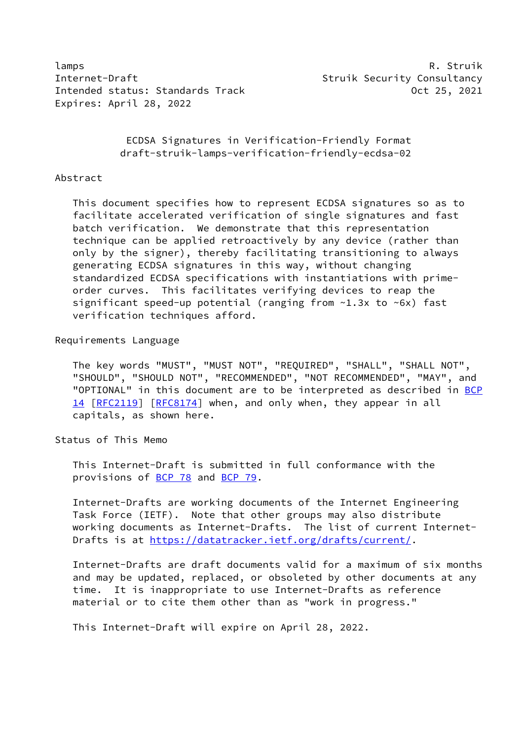lamps R. Struik Internet-Draft Subseternation of the Struik Security Consultancy Intended status: Standards Track Contract Communication of 25, 2021 Expires: April 28, 2022

 ECDSA Signatures in Verification-Friendly Format draft-struik-lamps-verification-friendly-ecdsa-02

### Abstract

 This document specifies how to represent ECDSA signatures so as to facilitate accelerated verification of single signatures and fast batch verification. We demonstrate that this representation technique can be applied retroactively by any device (rather than only by the signer), thereby facilitating transitioning to always generating ECDSA signatures in this way, without changing standardized ECDSA specifications with instantiations with prime order curves. This facilitates verifying devices to reap the significant speed-up potential (ranging from ~1.3x to ~6x) fast verification techniques afford.

### Requirements Language

 The key words "MUST", "MUST NOT", "REQUIRED", "SHALL", "SHALL NOT", "SHOULD", "SHOULD NOT", "RECOMMENDED", "NOT RECOMMENDED", "MAY", and "OPTIONAL" in this document are to be interpreted as described in [BCP](https://datatracker.ietf.org/doc/pdf/bcp14) [14](https://datatracker.ietf.org/doc/pdf/bcp14) [[RFC2119\]](https://datatracker.ietf.org/doc/pdf/rfc2119) [\[RFC8174](https://datatracker.ietf.org/doc/pdf/rfc8174)] when, and only when, they appear in all capitals, as shown here.

### Status of This Memo

 This Internet-Draft is submitted in full conformance with the provisions of [BCP 78](https://datatracker.ietf.org/doc/pdf/bcp78) and [BCP 79](https://datatracker.ietf.org/doc/pdf/bcp79).

 Internet-Drafts are working documents of the Internet Engineering Task Force (IETF). Note that other groups may also distribute working documents as Internet-Drafts. The list of current Internet Drafts is at<https://datatracker.ietf.org/drafts/current/>.

 Internet-Drafts are draft documents valid for a maximum of six months and may be updated, replaced, or obsoleted by other documents at any time. It is inappropriate to use Internet-Drafts as reference material or to cite them other than as "work in progress."

This Internet-Draft will expire on April 28, 2022.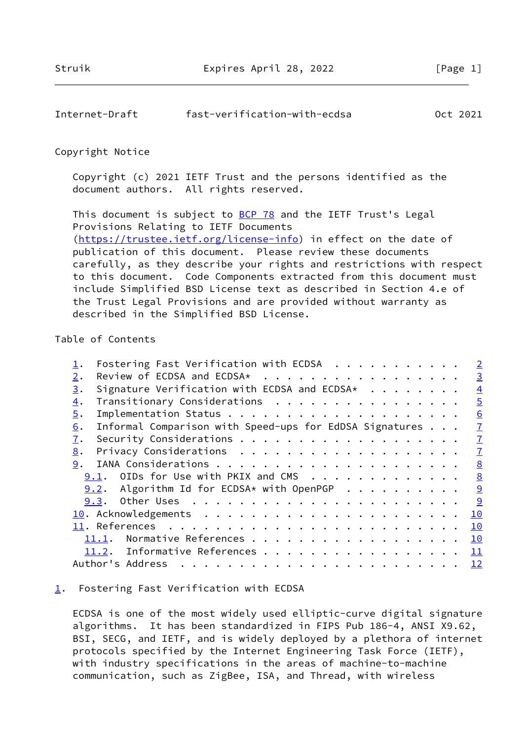# <span id="page-1-1"></span>Internet-Draft fast-verification-with-ecdsa Oct 2021

### Copyright Notice

 Copyright (c) 2021 IETF Trust and the persons identified as the document authors. All rights reserved.

This document is subject to **[BCP 78](https://datatracker.ietf.org/doc/pdf/bcp78)** and the IETF Trust's Legal Provisions Relating to IETF Documents [\(https://trustee.ietf.org/license-info](https://trustee.ietf.org/license-info)) in effect on the date of publication of this document. Please review these documents carefully, as they describe your rights and restrictions with respect to this document. Code Components extracted from this document must include Simplified BSD License text as described in Section 4.e of the Trust Legal Provisions and are provided without warranty as described in the Simplified BSD License.

## Table of Contents

|                  | Fostering Fast Verification with ECDSA $\dots \dots \dots$ | $\overline{\phantom{0}}$ 2 |
|------------------|------------------------------------------------------------|----------------------------|
| 2.               | Review of ECDSA and ECDSA*                                 | $\overline{3}$             |
| 3.               | Signature Verification with ECDSA and ECDSA*               | $\overline{4}$             |
| $\overline{4}$ . | Transitionary Considerations                               | $\overline{5}$             |
| 5.               |                                                            | 6                          |
| 6.               | Informal Comparison with Speed-ups for EdDSA Signatures    | $\overline{1}$             |
| 7.               |                                                            | $\overline{1}$             |
| 8.               |                                                            | $\overline{1}$             |
| 9.               |                                                            | 8                          |
|                  | 9.1. OIDs for Use with PKIX and CMS                        | 8                          |
|                  | $9.2$ . Algorithm Id for ECDSA* with OpenPGP               | $\overline{9}$             |
|                  | 9.3.                                                       | 9                          |
|                  |                                                            | 10                         |
|                  |                                                            | 10                         |
|                  | Normative References<br>11.1.                              | 10                         |
|                  | 11.2. Informative References                               | 11                         |
|                  | Author's Address                                           | $\frac{12}{1}$             |
|                  |                                                            |                            |

### <span id="page-1-0"></span> $\underline{1}$  $\underline{1}$  $\underline{1}$ . Fostering Fast Verification with ECDSA

 ECDSA is one of the most widely used elliptic-curve digital signature algorithms. It has been standardized in FIPS Pub 186-4, ANSI X9.62, BSI, SECG, and IETF, and is widely deployed by a plethora of internet protocols specified by the Internet Engineering Task Force (IETF), with industry specifications in the areas of machine-to-machine communication, such as ZigBee, ISA, and Thread, with wireless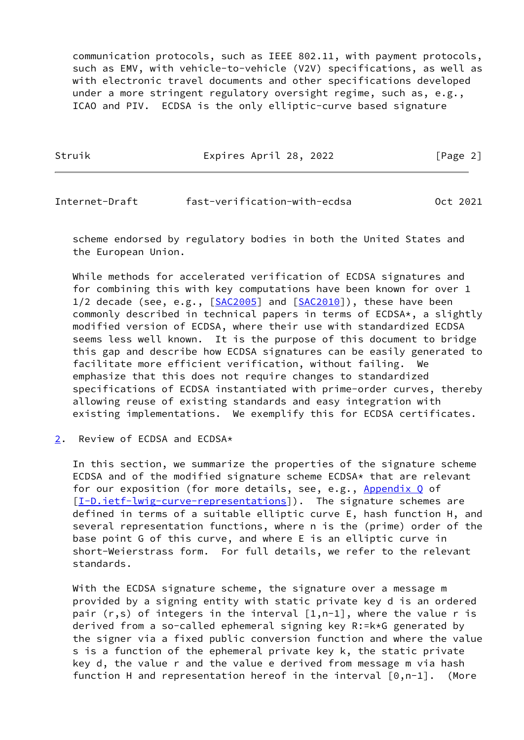communication protocols, such as IEEE 802.11, with payment protocols, such as EMV, with vehicle-to-vehicle (V2V) specifications, as well as with electronic travel documents and other specifications developed under a more stringent regulatory oversight regime, such as, e.g., ICAO and PIV. ECDSA is the only elliptic-curve based signature

Struik Expires April 28, 2022 [Page 2]

<span id="page-2-1"></span>Internet-Draft fast-verification-with-ecdsa Oct 2021

 scheme endorsed by regulatory bodies in both the United States and the European Union.

 While methods for accelerated verification of ECDSA signatures and for combining this with key computations have been known for over 1 1/2 decade (see, e.g., [\[SAC2005](#page-12-2)] and [\[SAC2010](#page-12-3)]), these have been commonly described in technical papers in terms of ECDSA\*, a slightly modified version of ECDSA, where their use with standardized ECDSA seems less well known. It is the purpose of this document to bridge this gap and describe how ECDSA signatures can be easily generated to facilitate more efficient verification, without failing. We emphasize that this does not require changes to standardized specifications of ECDSA instantiated with prime-order curves, thereby allowing reuse of existing standards and easy integration with existing implementations. We exemplify this for ECDSA certificates.

<span id="page-2-0"></span>[2](#page-2-0). Review of ECDSA and ECDSA\*

 In this section, we summarize the properties of the signature scheme ECDSA and of the modified signature scheme ECDSA\* that are relevant for our exposition (for more details, see, e.g., Appendix Q of [\[I-D.ietf-lwig-curve-representations](#page-10-4)]). The signature schemes are defined in terms of a suitable elliptic curve E, hash function H, and several representation functions, where n is the (prime) order of the base point G of this curve, and where E is an elliptic curve in short-Weierstrass form. For full details, we refer to the relevant standards.

 With the ECDSA signature scheme, the signature over a message m provided by a signing entity with static private key d is an ordered pair  $(r,s)$  of integers in the interval  $[1,n-1]$ , where the value r is derived from a so-called ephemeral signing key R:=k\*G generated by the signer via a fixed public conversion function and where the value s is a function of the ephemeral private key k, the static private key d, the value r and the value e derived from message m via hash function H and representation hereof in the interval  $[0,n-1]$ . (More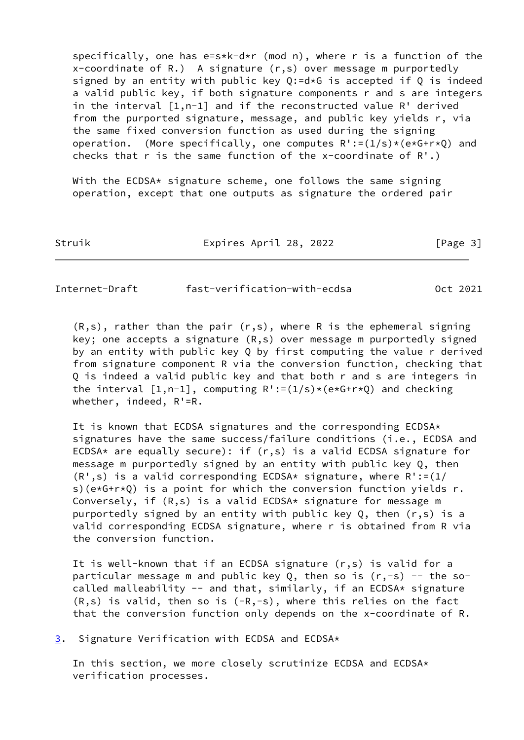specifically, one has e=s\*k-d\*r (mod n), where r is a function of the x-coordinate of R.) A signature (r,s) over message m purportedly signed by an entity with public key  $Q:=d*G$  is accepted if  $Q$  is indeed a valid public key, if both signature components r and s are integers in the interval [1,n-1] and if the reconstructed value R' derived from the purported signature, message, and public key yields r, via the same fixed conversion function as used during the signing operation. (More specifically, one computes  $R':=(1/s)*(e*G+r*Q)$  and checks that r is the same function of the x-coordinate of  $R'.$ )

With the ECDSA\* signature scheme, one follows the same signing operation, except that one outputs as signature the ordered pair

Struik Expires April 28, 2022 [Page 3]

<span id="page-3-1"></span>Internet-Draft fast-verification-with-ecdsa Oct 2021

 $(R,s)$ , rather than the pair  $(r,s)$ , where R is the ephemeral signing key; one accepts a signature (R,s) over message m purportedly signed by an entity with public key Q by first computing the value r derived from signature component R via the conversion function, checking that Q is indeed a valid public key and that both r and s are integers in the interval  $[1,n-1]$ , computing  $R':=(1/s)*(e*G+r*Q)$  and checking whether, indeed, R'=R.

 It is known that ECDSA signatures and the corresponding ECDSA\* signatures have the same success/failure conditions (i.e., ECDSA and ECDSA\* are equally secure): if  $(r, s)$  is a valid ECDSA signature for message m purportedly signed by an entity with public key Q, then  $(R', s)$  is a valid corresponding ECDSA\* signature, where  $R':=(1/2)$ s)( $e*G+r*Q$ ) is a point for which the conversion function yields r. Conversely, if (R,s) is a valid ECDSA\* signature for message m purportedly signed by an entity with public key  $Q$ , then  $(r, s)$  is a valid corresponding ECDSA signature, where r is obtained from R via the conversion function.

 It is well-known that if an ECDSA signature (r,s) is valid for a particular message m and public key  $Q$ , then so is  $(r, -s)$  -- the socalled malleability  $--$  and that, similarly, if an ECDSA\* signature  $(R, s)$  is valid, then so is  $(-R, -s)$ , where this relies on the fact that the conversion function only depends on the x-coordinate of R.

<span id="page-3-0"></span>[3](#page-3-0). Signature Verification with ECDSA and ECDSA\*

 In this section, we more closely scrutinize ECDSA and ECDSA\* verification processes.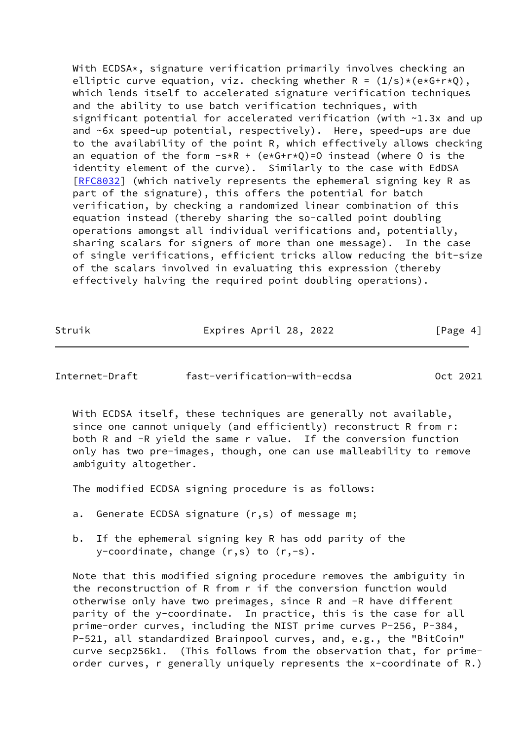With ECDSA\*, signature verification primarily involves checking an elliptic curve equation, viz. checking whether  $R = (1/s) * (e * G + r * Q)$ , which lends itself to accelerated signature verification techniques and the ability to use batch verification techniques, with significant potential for accelerated verification (with ~1.3x and up and ~6x speed-up potential, respectively). Here, speed-ups are due to the availability of the point R, which effectively allows checking an equation of the form  $-s R + (e*G+r*Q)=0$  instead (where 0 is the identity element of the curve). Similarly to the case with EdDSA [\[RFC8032](https://datatracker.ietf.org/doc/pdf/rfc8032)] (which natively represents the ephemeral signing key R as part of the signature), this offers the potential for batch verification, by checking a randomized linear combination of this equation instead (thereby sharing the so-called point doubling operations amongst all individual verifications and, potentially, sharing scalars for signers of more than one message). In the case of single verifications, efficient tricks allow reducing the bit-size of the scalars involved in evaluating this expression (thereby effectively halving the required point doubling operations).

Struik Expires April 28, 2022 [Page 4]

<span id="page-4-0"></span>Internet-Draft fast-verification-with-ecdsa Oct 2021

 With ECDSA itself, these techniques are generally not available, since one cannot uniquely (and efficiently) reconstruct R from r: both R and -R yield the same r value. If the conversion function only has two pre-images, though, one can use malleability to remove ambiguity altogether.

The modified ECDSA signing procedure is as follows:

- a. Generate ECDSA signature (r,s) of message m;
- b. If the ephemeral signing key R has odd parity of the y-coordinate, change (r,s) to (r,-s).

 Note that this modified signing procedure removes the ambiguity in the reconstruction of R from r if the conversion function would otherwise only have two preimages, since R and -R have different parity of the y-coordinate. In practice, this is the case for all prime-order curves, including the NIST prime curves P-256, P-384, P-521, all standardized Brainpool curves, and, e.g., the "BitCoin" curve secp256k1. (This follows from the observation that, for prime order curves, r generally uniquely represents the x-coordinate of R.)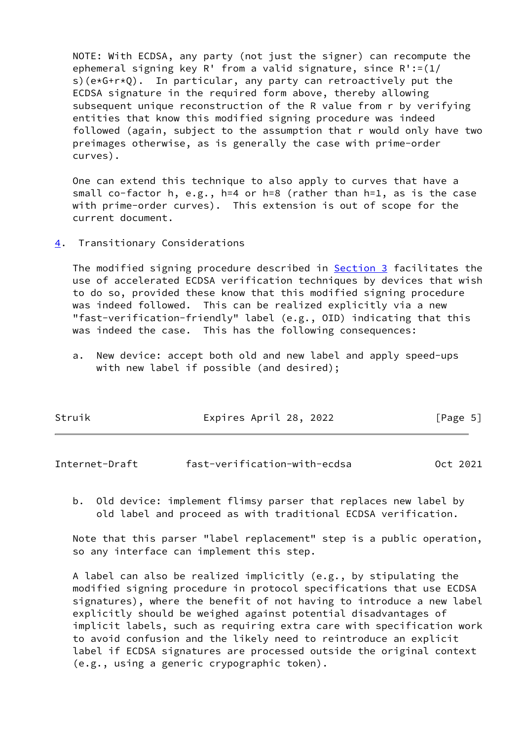NOTE: With ECDSA, any party (not just the signer) can recompute the ephemeral signing key R' from a valid signature, since R':=(1/ s)( $e*G+r*Q$ ). In particular, any party can retroactively put the ECDSA signature in the required form above, thereby allowing subsequent unique reconstruction of the R value from r by verifying entities that know this modified signing procedure was indeed followed (again, subject to the assumption that r would only have two preimages otherwise, as is generally the case with prime-order curves).

 One can extend this technique to also apply to curves that have a small co-factor h, e.g., h=4 or h=8 (rather than h=1, as is the case with prime-order curves). This extension is out of scope for the current document.

<span id="page-5-0"></span>[4](#page-5-0). Transitionary Considerations

 The modified signing procedure described in [Section 3](#page-3-0) facilitates the use of accelerated ECDSA verification techniques by devices that wish to do so, provided these know that this modified signing procedure was indeed followed. This can be realized explicitly via a new "fast-verification-friendly" label (e.g., OID) indicating that this was indeed the case. This has the following consequences:

 a. New device: accept both old and new label and apply speed-ups with new label if possible (and desired);

| Struik | Expires April 28, 2022 | [Page 5] |
|--------|------------------------|----------|
|        |                        |          |

<span id="page-5-1"></span>

| Internet-Draft | fast-verification-with-ecdsa | Oct 2021 |
|----------------|------------------------------|----------|
|----------------|------------------------------|----------|

 b. Old device: implement flimsy parser that replaces new label by old label and proceed as with traditional ECDSA verification.

 Note that this parser "label replacement" step is a public operation, so any interface can implement this step.

 A label can also be realized implicitly (e.g., by stipulating the modified signing procedure in protocol specifications that use ECDSA signatures), where the benefit of not having to introduce a new label explicitly should be weighed against potential disadvantages of implicit labels, such as requiring extra care with specification work to avoid confusion and the likely need to reintroduce an explicit label if ECDSA signatures are processed outside the original context (e.g., using a generic crypographic token).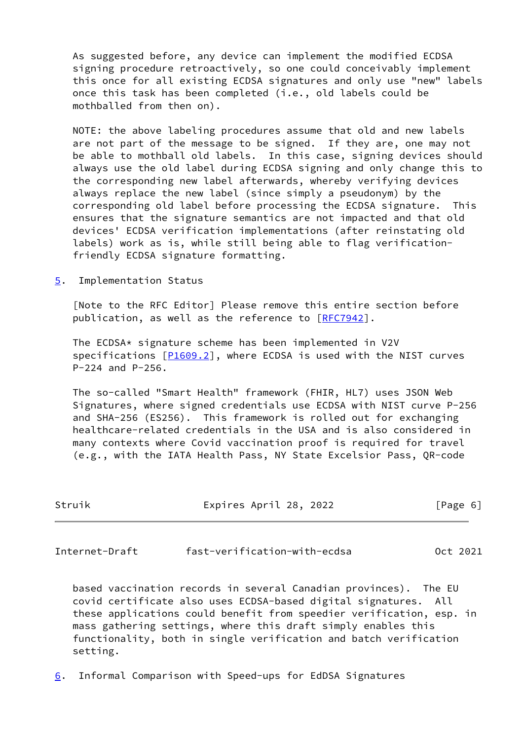As suggested before, any device can implement the modified ECDSA signing procedure retroactively, so one could conceivably implement this once for all existing ECDSA signatures and only use "new" labels once this task has been completed (i.e., old labels could be mothballed from then on).

 NOTE: the above labeling procedures assume that old and new labels are not part of the message to be signed. If they are, one may not be able to mothball old labels. In this case, signing devices should always use the old label during ECDSA signing and only change this to the corresponding new label afterwards, whereby verifying devices always replace the new label (since simply a pseudonym) by the corresponding old label before processing the ECDSA signature. This ensures that the signature semantics are not impacted and that old devices' ECDSA verification implementations (after reinstating old labels) work as is, while still being able to flag verification friendly ECDSA signature formatting.

<span id="page-6-0"></span>[5](#page-6-0). Implementation Status

 [Note to the RFC Editor] Please remove this entire section before publication, as well as the reference to [\[RFC7942](https://datatracker.ietf.org/doc/pdf/rfc7942)].

 The ECDSA\* signature scheme has been implemented in V2V specifications  $[P1609.2]$  $[P1609.2]$ , where ECDSA is used with the NIST curves P-224 and P-256.

 The so-called "Smart Health" framework (FHIR, HL7) uses JSON Web Signatures, where signed credentials use ECDSA with NIST curve P-256 and SHA-256 (ES256). This framework is rolled out for exchanging healthcare-related credentials in the USA and is also considered in many contexts where Covid vaccination proof is required for travel (e.g., with the IATA Health Pass, NY State Excelsior Pass, QR-code

| Struik | Expires April 28, 2022 | [Page 6] |
|--------|------------------------|----------|
|        |                        |          |

<span id="page-6-2"></span>Internet-Draft fast-verification-with-ecdsa Oct 2021

 based vaccination records in several Canadian provinces). The EU covid certificate also uses ECDSA-based digital signatures. All these applications could benefit from speedier verification, esp. in mass gathering settings, where this draft simply enables this functionality, both in single verification and batch verification setting.

<span id="page-6-1"></span>[6](#page-6-1). Informal Comparison with Speed-ups for EdDSA Signatures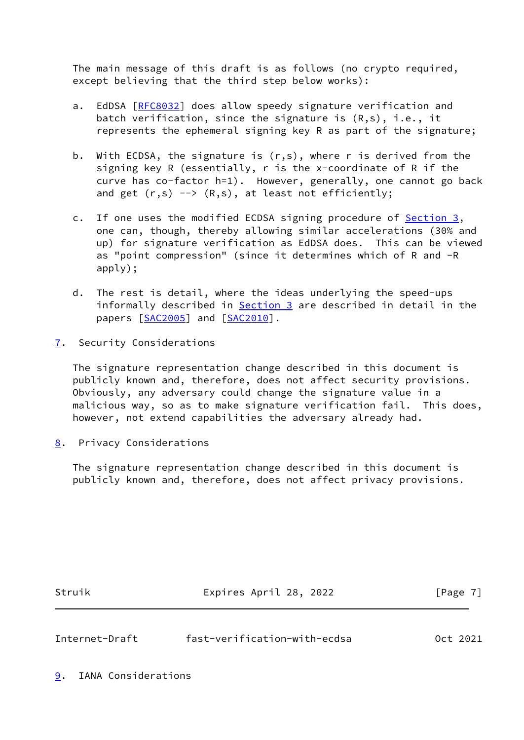The main message of this draft is as follows (no crypto required, except believing that the third step below works):

- a. EdDSA [[RFC8032](https://datatracker.ietf.org/doc/pdf/rfc8032)] does allow speedy signature verification and batch verification, since the signature is (R,s), i.e., it represents the ephemeral signing key R as part of the signature;
- b. With ECDSA, the signature is (r,s), where r is derived from the signing key R (essentially, r is the x-coordinate of R if the curve has co-factor h=1). However, generally, one cannot go back and get  $(r,s)$  -->  $(R,s)$ , at least not efficiently;
- c. If one uses the modified ECDSA signing procedure of **Section 3**, one can, though, thereby allowing similar accelerations (30% and up) for signature verification as EdDSA does. This can be viewed as "point compression" (since it determines which of R and -R apply);
- d. The rest is detail, where the ideas underlying the speed-ups informally described in [Section 3](#page-3-0) are described in detail in the papers [[SAC2005\]](#page-12-2) and [\[SAC2010](#page-12-3)].
- <span id="page-7-0"></span>[7](#page-7-0). Security Considerations

 The signature representation change described in this document is publicly known and, therefore, does not affect security provisions. Obviously, any adversary could change the signature value in a malicious way, so as to make signature verification fail. This does, however, not extend capabilities the adversary already had.

<span id="page-7-1"></span>[8](#page-7-1). Privacy Considerations

 The signature representation change described in this document is publicly known and, therefore, does not affect privacy provisions.

Struik Expires April 28, 2022 [Page 7]

<span id="page-7-3"></span>Internet-Draft fast-verification-with-ecdsa Oct 2021

<span id="page-7-2"></span>[9](#page-7-2). IANA Considerations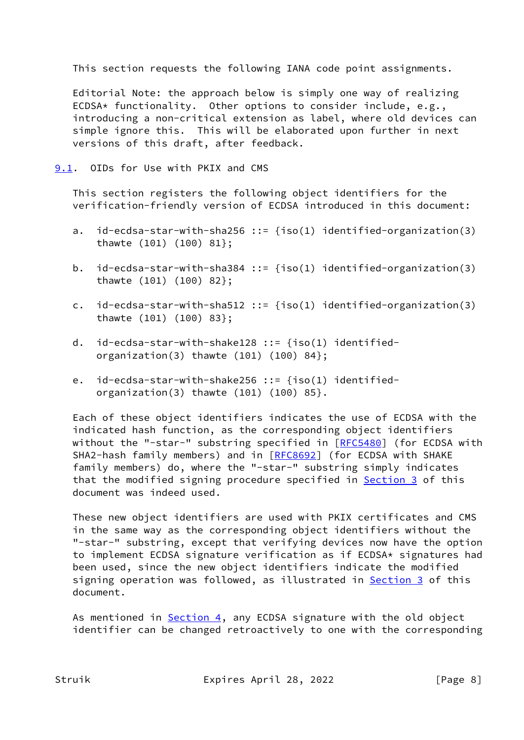This section requests the following IANA code point assignments.

 Editorial Note: the approach below is simply one way of realizing ECDSA\* functionality. Other options to consider include, e.g., introducing a non-critical extension as label, where old devices can simple ignore this. This will be elaborated upon further in next versions of this draft, after feedback.

<span id="page-8-0"></span>[9.1](#page-8-0). OIDs for Use with PKIX and CMS

 This section registers the following object identifiers for the verification-friendly version of ECDSA introduced in this document:

- a. id-ecdsa-star-with-sha256 ::=  ${\text{iso}(1)}$  identified-organization(3) thawte (101) (100) 81};
- b. id-ecdsa-star-with-sha384 ::=  $\{iso(1)$  identified-organization(3) thawte (101) (100) 82};
- c. id-ecdsa-star-with-sha512 ::=  ${\text{fiso}(1)}$  identified-organization(3) thawte (101) (100) 83};
- d. id-ecdsa-star-with-shake128 ::=  ${\text{iso}(1)}$  identifiedorganization(3) thawte (101) (100) 84};
- e. id-ecdsa-star-with-shake256 ::=  ${\text{iso}(1)}$  identifiedorganization(3) thawte (101) (100) 85}.

 Each of these object identifiers indicates the use of ECDSA with the indicated hash function, as the corresponding object identifiers without the "-star-" substring specified in [\[RFC5480](https://datatracker.ietf.org/doc/pdf/rfc5480)] (for ECDSA with SHA2-hash family members) and in [\[RFC8692](https://datatracker.ietf.org/doc/pdf/rfc8692)] (for ECDSA with SHAKE family members) do, where the "-star-" substring simply indicates that the modified signing procedure specified in [Section 3](#page-3-0) of this document was indeed used.

 These new object identifiers are used with PKIX certificates and CMS in the same way as the corresponding object identifiers without the "-star-" substring, except that verifying devices now have the option to implement ECDSA signature verification as if ECDSA\* signatures had been used, since the new object identifiers indicate the modified signing operation was followed, as illustrated in **Section 3** of this document.

As mentioned in **Section 4**, any ECDSA signature with the old object identifier can be changed retroactively to one with the corresponding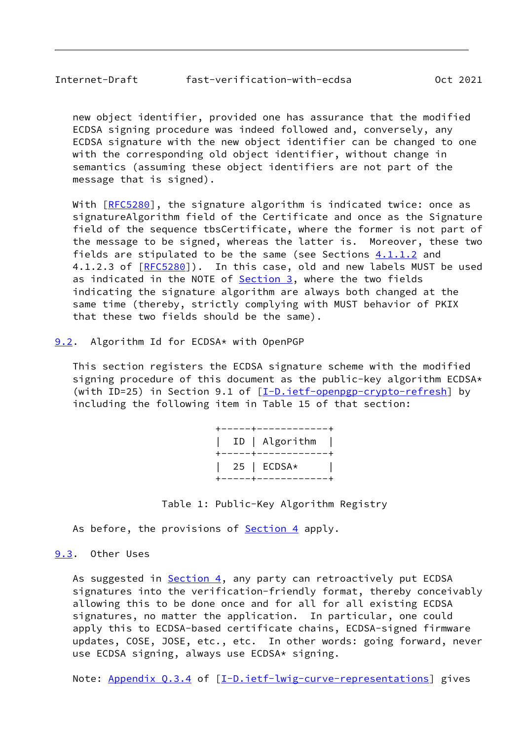<span id="page-9-1"></span> new object identifier, provided one has assurance that the modified ECDSA signing procedure was indeed followed and, conversely, any ECDSA signature with the new object identifier can be changed to one with the corresponding old object identifier, without change in semantics (assuming these object identifiers are not part of the message that is signed).

With [\[RFC5280](https://datatracker.ietf.org/doc/pdf/rfc5280)], the signature algorithm is indicated twice: once as signatureAlgorithm field of the Certificate and once as the Signature field of the sequence tbsCertificate, where the former is not part of the message to be signed, whereas the latter is. Moreover, these two fields are stipulated to be the same (see Sections  $4.1.1.2$  and 4.1.2.3 of [[RFC5280\]](https://datatracker.ietf.org/doc/pdf/rfc5280)). In this case, old and new labels MUST be used as indicated in the NOTE of  $Section 3$ , where the two fields indicating the signature algorithm are always both changed at the same time (thereby, strictly complying with MUST behavior of PKIX that these two fields should be the same).

<span id="page-9-0"></span>[9.2](#page-9-0). Algorithm Id for ECDSA\* with OpenPGP

 This section registers the ECDSA signature scheme with the modified signing procedure of this document as the public-key algorithm ECDSA\* (with ID=25) in Section 9.1 of  $[\underline{I-D.i}etf-openpgp-crypto-refresh]$  by including the following item in Table 15 of that section:

> +-----+------------+ | ID | Algorithm | +-----+------------+ | 25 | ECDSA\* | +-----+------------+

Table 1: Public-Key Algorithm Registry

As before, the provisions of **Section 4** apply.

<span id="page-9-2"></span>[9.3](#page-9-2). Other Uses

As suggested in [Section 4](#page-5-0), any party can retroactively put ECDSA signatures into the verification-friendly format, thereby conceivably allowing this to be done once and for all for all existing ECDSA signatures, no matter the application. In particular, one could apply this to ECDSA-based certificate chains, ECDSA-signed firmware updates, COSE, JOSE, etc., etc. In other words: going forward, never use ECDSA signing, always use ECDSA\* signing.

Note: Appendix 0.3.4 of [\[I-D.ietf-lwig-curve-representations](#page-10-4)] gives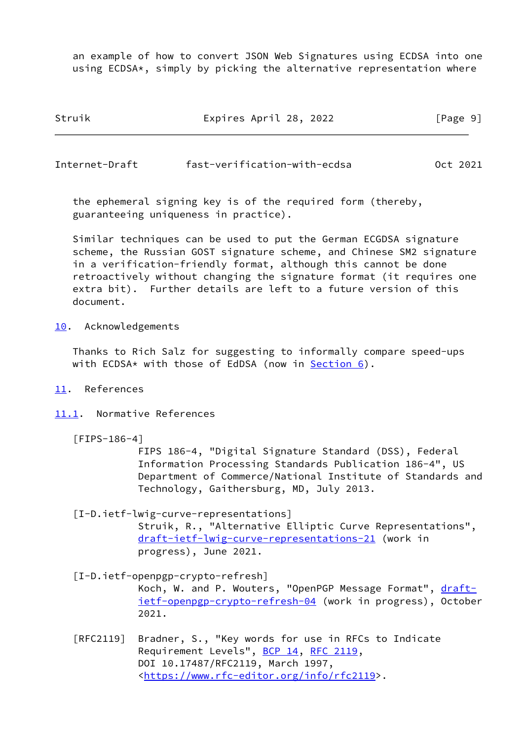an example of how to convert JSON Web Signatures using ECDSA into one using ECDSA\*, simply by picking the alternative representation where

| Struik | Expires April 28, 2022 | [Page 9] |
|--------|------------------------|----------|
|        |                        |          |

<span id="page-10-1"></span>Internet-Draft fast-verification-with-ecdsa Oct 2021

 the ephemeral signing key is of the required form (thereby, guaranteeing uniqueness in practice).

 Similar techniques can be used to put the German ECGDSA signature scheme, the Russian GOST signature scheme, and Chinese SM2 signature in a verification-friendly format, although this cannot be done retroactively without changing the signature format (it requires one extra bit). Further details are left to a future version of this document.

<span id="page-10-0"></span>[10.](#page-10-0) Acknowledgements

 Thanks to Rich Salz for suggesting to informally compare speed-ups with ECDSA\* with those of EdDSA (now in Section  $6$ ).

- <span id="page-10-2"></span>[11.](#page-10-2) References
- <span id="page-10-3"></span>[11.1](#page-10-3). Normative References
	- [FIPS-186-4]

 FIPS 186-4, "Digital Signature Standard (DSS), Federal Information Processing Standards Publication 186-4", US Department of Commerce/National Institute of Standards and Technology, Gaithersburg, MD, July 2013.

<span id="page-10-4"></span> [I-D.ietf-lwig-curve-representations] Struik, R., "Alternative Elliptic Curve Representations", [draft-ietf-lwig-curve-representations-21](https://datatracker.ietf.org/doc/pdf/draft-ietf-lwig-curve-representations-21) (work in progress), June 2021.

<span id="page-10-5"></span> [I-D.ietf-openpgp-crypto-refresh] Koch, W. and P. Wouters, "OpenPGP Message Format", [draft](https://datatracker.ietf.org/doc/pdf/draft-ietf-openpgp-crypto-refresh-04) [ietf-openpgp-crypto-refresh-04](https://datatracker.ietf.org/doc/pdf/draft-ietf-openpgp-crypto-refresh-04) (work in progress), October 2021.

 [RFC2119] Bradner, S., "Key words for use in RFCs to Indicate Requirement Levels", [BCP 14](https://datatracker.ietf.org/doc/pdf/bcp14), [RFC 2119](https://datatracker.ietf.org/doc/pdf/rfc2119), DOI 10.17487/RFC2119, March 1997, <[https://www.rfc-editor.org/info/rfc2119>](https://www.rfc-editor.org/info/rfc2119).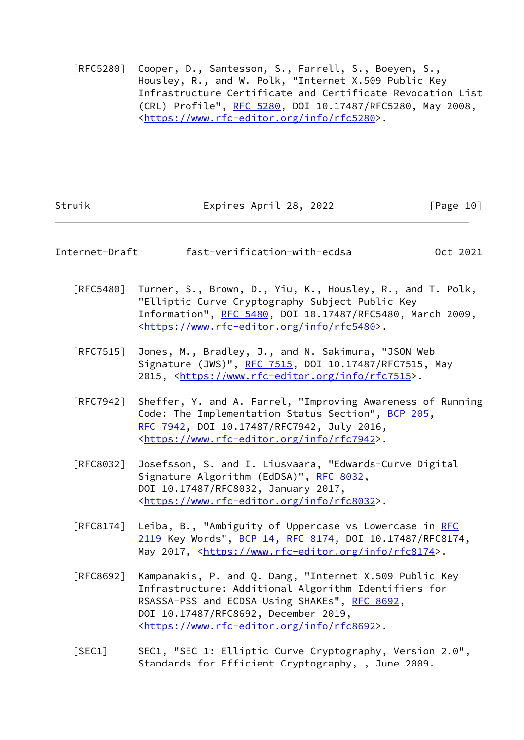[RFC5280] Cooper, D., Santesson, S., Farrell, S., Boeyen, S., Housley, R., and W. Polk, "Internet X.509 Public Key Infrastructure Certificate and Certificate Revocation List (CRL) Profile", [RFC 5280,](https://datatracker.ietf.org/doc/pdf/rfc5280) DOI 10.17487/RFC5280, May 2008, <[https://www.rfc-editor.org/info/rfc5280>](https://www.rfc-editor.org/info/rfc5280).

<span id="page-11-0"></span>

| Struik                           | Expires April 28, 2022                                                                                                                                                                                                                                                 | $\lceil \text{Page 10} \rceil$ |
|----------------------------------|------------------------------------------------------------------------------------------------------------------------------------------------------------------------------------------------------------------------------------------------------------------------|--------------------------------|
| Internet-Draft                   | fast-verification-with-ecdsa                                                                                                                                                                                                                                           | Oct 2021                       |
| [RFC5480]                        | Turner, S., Brown, D., Yiu, K., Housley, R., and T. Polk,<br>"Elliptic Curve Cryptography Subject Public Key<br>Information", RFC 5480, DOI 10.17487/RFC5480, March 2009,<br><https: info="" rfc5480="" www.rfc-editor.org="">.</https:>                               |                                |
| $\lceil$ RFC7515]                | Jones, M., Bradley, J., and N. Sakimura, "JSON Web<br>Signature (JWS)", RFC 7515, DOI 10.17487/RFC7515, May<br>2015, <https: info="" rfc7515="" www.rfc-editor.org="">.</https:>                                                                                       |                                |
| $\lceil$ RFC7942]                | Sheffer, Y. and A. Farrel, "Improving Awareness of Running<br>Code: The Implementation Status Section", BCP 205,<br>RFC 7942, DOI 10.17487/RFC7942, July 2016,<br><https: info="" rfc7942="" www.rfc-editor.org="">.</https:>                                          |                                |
| [RFC8032]                        | Josefsson, S. and I. Liusvaara, "Edwards-Curve Digital<br>Signature Algorithm (EdDSA)", RFC 8032,<br>DOI 10.17487/RFC8032, January 2017,<br><https: info="" rfc8032="" www.rfc-editor.org="">.</https:>                                                                |                                |
| $\lceil \mathsf{RFC8174} \rceil$ | Leiba, B., "Ambiguity of Uppercase vs Lowercase in RFC<br>2119 Key Words", BCP 14, RFC 8174, DOI 10.17487/RFC8174,<br>May 2017, <https: info="" rfc8174="" www.rfc-editor.org="">.</https:>                                                                            |                                |
| [RFC8692]                        | Kampanakis, P. and Q. Dang, "Internet X.509 Public Key<br>Infrastructure: Additional Algorithm Identifiers for<br>RSASSA-PSS and ECDSA Using SHAKEs", RFC 8692,<br>DOI 10.17487/RFC8692, December 2019,<br><https: info="" rfc8692="" www.rfc-editor.org="">.</https:> |                                |
| [SEC1]                           | SEC1, "SEC 1: Elliptic Curve Cryptography, Version 2.0",<br>Standards for Efficient Cryptography, , June 2009.                                                                                                                                                         |                                |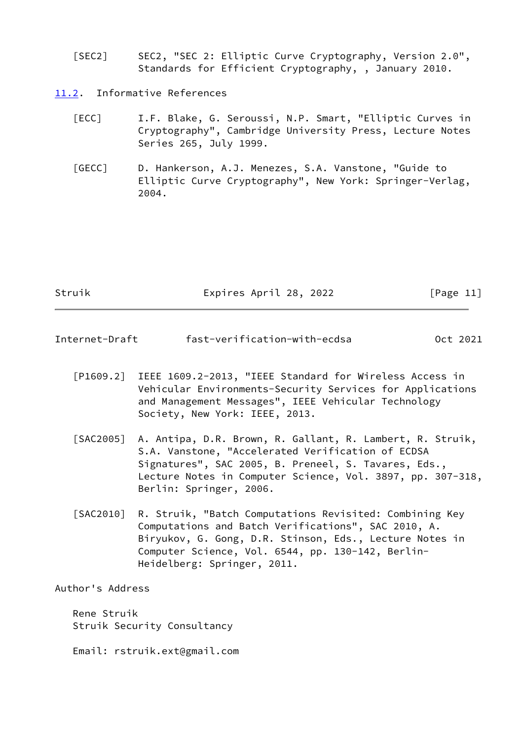- [SEC2] SEC2, "SEC 2: Elliptic Curve Cryptography, Version 2.0", Standards for Efficient Cryptography, , January 2010.
- <span id="page-12-0"></span>[11.2](#page-12-0). Informative References
	- [ECC] I.F. Blake, G. Seroussi, N.P. Smart, "Elliptic Curves in Cryptography", Cambridge University Press, Lecture Notes Series 265, July 1999.
	- [GECC] D. Hankerson, A.J. Menezes, S.A. Vanstone, "Guide to Elliptic Curve Cryptography", New York: Springer-Verlag, 2004.

Struik **Expires April 28, 2022** [Page 11]

- <span id="page-12-4"></span><span id="page-12-2"></span><span id="page-12-1"></span>Internet-Draft fast-verification-with-ecdsa Oct 2021
	- [P1609.2] IEEE 1609.2-2013, "IEEE Standard for Wireless Access in Vehicular Environments-Security Services for Applications and Management Messages", IEEE Vehicular Technology Society, New York: IEEE, 2013.
	- [SAC2005] A. Antipa, D.R. Brown, R. Gallant, R. Lambert, R. Struik, S.A. Vanstone, "Accelerated Verification of ECDSA Signatures", SAC 2005, B. Preneel, S. Tavares, Eds., Lecture Notes in Computer Science, Vol. 3897, pp. 307-318, Berlin: Springer, 2006.
	- [SAC2010] R. Struik, "Batch Computations Revisited: Combining Key Computations and Batch Verifications", SAC 2010, A. Biryukov, G. Gong, D.R. Stinson, Eds., Lecture Notes in Computer Science, Vol. 6544, pp. 130-142, Berlin- Heidelberg: Springer, 2011.

<span id="page-12-3"></span>Author's Address

 Rene Struik Struik Security Consultancy

Email: rstruik.ext@gmail.com